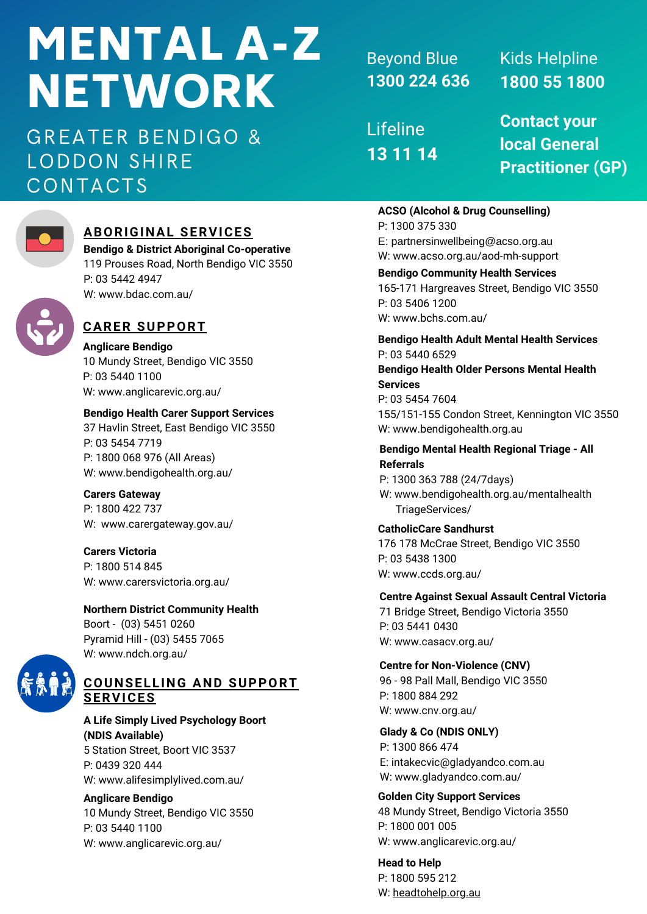# MENTAL A-Z NETWORK

GREATER BENDIGO & LODDON SHIRE CONTACTS



# **ABORIGINAL SERVICES**

**Bendigo & District Aboriginal Co-operative** 119 Prouses Road, North Bendigo VIC 3550 P: 03 5442 4947 W: www.bdac.com.au/



## **CARER SUPPORT**

**Anglicare Bendigo** 10 Mundy Street, Bendigo VIC 3550 P: 03 5440 1100 W: www.anglicarevic.org.au/

## **Bendigo Health Carer Support Services**

37 Havlin Street, East Bendigo VIC 3550 P: 03 5454 7719 P: 1800 068 976 (All Areas) W: www.bendigohealth.org.au/

**Carers Gateway** P: 1800 422 737 W: www.carergateway.gov.au/

**Carers Victoria** P: 1800 514 845 W: www.carersvictoria.org.au/

## **Northern District Community Health**

Boort - (03) 5451 0260 Pyramid Hill - (03) 5455 7065 W: www.ndch.org.au/



## **A Life Simply Lived Psychology Boort (NDIS Available)**

5 Station Street, Boort VIC 3537 P: 0439 320 444 W: www.alifesimplylived.com.au/

## **Anglicare Bendigo**

10 Mundy Street, Bendigo VIC 3550 P: 03 5440 1100 W: www.anglicarevic.org.au/

Beyond Blue **1300 224 636**

Lifeline **13 11 14** Kids Helpline **1800 55 1800**

**Contact your local General Practitioner (GP)**

## **ACSO (Alcohol & Drug Counselling)**

P: 1300 375 330 E: partnersinwellbeing@acso.org.au W: www.acso.org.au/aod-mh-support

**Bendigo Community Health Services** 165-171 Hargreaves Street, Bendigo VIC 3550 P: 03 5406 1200 W: www.bchs.com.au/

**Bendigo Health Adult Mental Health Services** P: 03 5440 6529

## **Bendigo Health Older Persons Mental Health Services**

P: 03 5454 7604 155/151-155 Condon Street, Kennington VIC 3550 W: www.bendigohealth.org.au

## **Bendigo Mental Health Regional Triage - All Referrals**

P: 1300 363 788 (24/7days) W: www.bendigohealth.org.au/mentalhealth TriageServices/

**CatholicCare Sandhurst**

176 178 McCrae Street, Bendigo VIC 3550 P: 03 5438 1300 W: www.ccds.org.au/

## **Centre Against Sexual Assault Central Victoria**

71 Bridge Street, Bendigo Victoria 3550 P: 03 5441 0430 W: www.casacv.org.au/

## **Centre for Non-Violence (CNV)**

96 -98 Pall Mall, Bendigo VIC 3550 P: 1800 884 292 W: www.cnv.org.au/

# **Glady & Co (NDIS ONLY)**

P: 1300 866 474 E: intakecvic@gladyandco.com.au W: www.gladyandco.com.au/

## **Golden City Support Services**

48 Mundy Street, Bendigo Victoria 3550 P: 1800 001 005 W: www.anglicarevic.org.au/

**Head to Help** P: 1800 595 212 W: [headtohelp.org.au](http://headtohelp.org.au/)